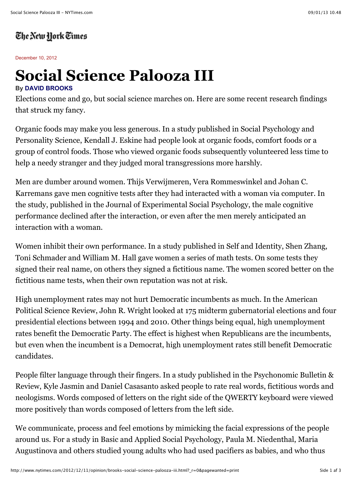## The New Hork Times

December 10, 2012

## **Social Science Palooza III**

## **By [DAVID BROOKS](http://topics.nytimes.com/top/opinion/editorialsandoped/oped/columnists/davidbrooks/index.html)**

Elections come and go, but social science marches on. Here are some recent research findings that struck my fancy.

Organic foods may make you less generous. In a study published in Social Psychology and Personality Science, Kendall J. Eskine had people look at organic foods, comfort foods or a group of control foods. Those who viewed organic foods subsequently volunteered less time to help a needy stranger and they judged moral transgressions more harshly.

Men are dumber around women. Thijs Verwijmeren, Vera Rommeswinkel and Johan C. Karremans gave men cognitive tests after they had interacted with a woman via computer. In the study, published in the Journal of Experimental Social Psychology, the male cognitive performance declined after the interaction, or even after the men merely anticipated an interaction with a woman.

Women inhibit their own performance. In a study published in Self and Identity, Shen Zhang, Toni Schmader and William M. Hall gave women a series of math tests. On some tests they signed their real name, on others they signed a fictitious name. The women scored better on the fictitious name tests, when their own reputation was not at risk.

High unemployment rates may not hurt Democratic incumbents as much. In the American Political Science Review, John R. Wright looked at 175 midterm gubernatorial elections and four presidential elections between 1994 and 2010. Other things being equal, high unemployment rates benefit the Democratic Party. The effect is highest when Republicans are the incumbents, but even when the incumbent is a Democrat, high unemployment rates still benefit Democratic candidates.

People filter language through their fingers. In a study published in the Psychonomic Bulletin & Review, Kyle Jasmin and Daniel Casasanto asked people to rate real words, fictitious words and neologisms. Words composed of letters on the right side of the QWERTY keyboard were viewed more positively than words composed of letters from the left side.

We communicate, process and feel emotions by mimicking the facial expressions of the people around us. For a study in Basic and Applied Social Psychology, Paula M. Niedenthal, Maria Augustinova and others studied young adults who had used pacifiers as babies, and who thus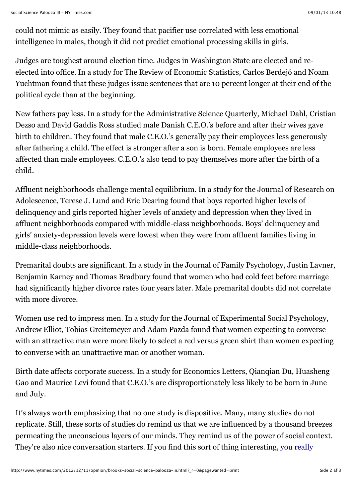could not mimic as easily. They found that pacifier use correlated with less emotional intelligence in males, though it did not predict emotional processing skills in girls.

Judges are toughest around election time. Judges in Washington State are elected and reelected into office. In a study for The Review of Economic Statistics, Carlos Berdejó and Noam Yuchtman found that these judges issue sentences that are 10 percent longer at their end of the political cycle than at the beginning.

New fathers pay less. In a study for the Administrative Science Quarterly, Michael Dahl, Cristian Dezso and David Gaddis Ross studied male Danish C.E.O.'s before and after their wives gave birth to children. They found that male C.E.O.'s generally pay their employees less generously after fathering a child. The effect is stronger after a son is born. Female employees are less affected than male employees. C.E.O.'s also tend to pay themselves more after the birth of a child.

Affluent neighborhoods challenge mental equilibrium. In a study for the Journal of Research on Adolescence, Terese J. Lund and Eric Dearing found that boys reported higher levels of delinquency and girls reported higher levels of anxiety and depression when they lived in affluent neighborhoods compared with middle-class neighborhoods. Boys' delinquency and girls' anxiety-depression levels were lowest when they were from affluent families living in middle-class neighborhoods.

Premarital doubts are significant. In a study in the Journal of Family Psychology, Justin Lavner, Benjamin Karney and Thomas Bradbury found that women who had cold feet before marriage had significantly higher divorce rates four years later. Male premarital doubts did not correlate with more divorce.

Women use red to impress men. In a study for the Journal of Experimental Social Psychology, Andrew Elliot, Tobias Greitemeyer and Adam Pazda found that women expecting to converse with an attractive man were more likely to select a red versus green shirt than women expecting to converse with an unattractive man or another woman.

Birth date affects corporate success. In a study for Economics Letters, Qianqian Du, Huasheng Gao and Maurice Levi found that C.E.O.'s are disproportionately less likely to be born in June and July.

It's always worth emphasizing that no one study is dispositive. Many, many studies do not replicate. Still, these sorts of studies do remind us that we are influenced by a thousand breezes permeating the unconscious layers of our minds. They remind us of the power of social context. [They're also nice conversation starters. If you find this sort of thing interesting, you really](http://www.nationalaffairs.com/authors/detail/kevin-lewis)